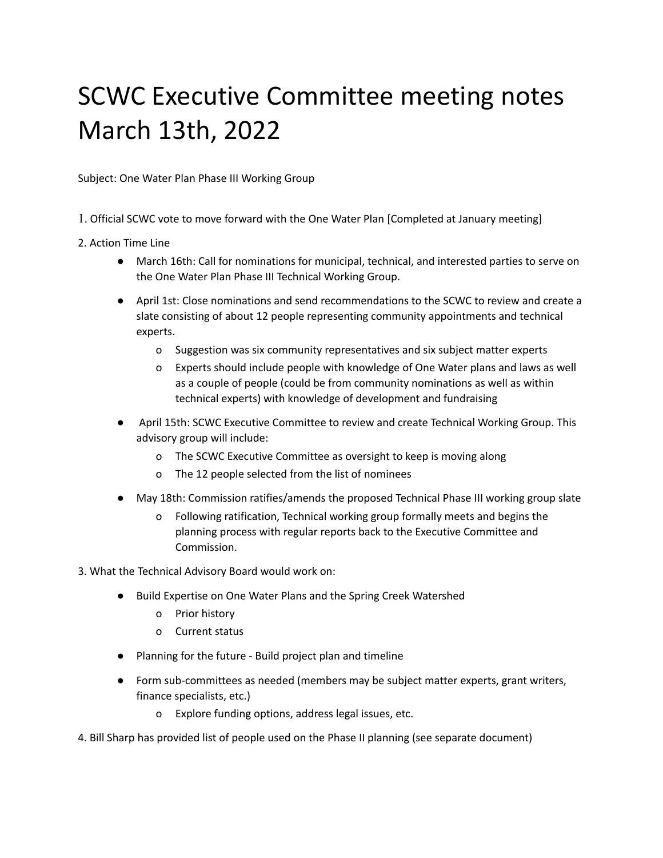## SCWC Executive Committee meeting notes March 13th, 2022

Subject: One Water Plan Phase III Working Group

- 1. Official SCWC vote to move forward with the One Water Plan [Completed at January meeting]
- 2. Action Time Line
	- March 16th: Call for nominations for municipal, technical, and interested parties to serve on the One Water Plan Phase III Technical Working Group.
	- April 1st: Close nominations and send recommendations to the SCWC to review and create a slate consisting of about 12 people representing community appointments and technical experts.
		- o Suggestion was six community representatives and six subject matter experts
		- o Experts should include people with knowledge of One Water plans and laws as well as a couple of people (could be from community nominations as well as within technical experts) with knowledge of development and fundraising
	- April 15th: SCWC Executive Committee to review and create Technical Working Group. This advisory group will include:
		- o The SCWC Executive Committee as oversight to keep is moving along
		- o The 12 people selected from the list of nominees
	- May 18th: Commission ratifies/amends the proposed Technical Phase III working group slate
		- o Following ratification, Technical working group formally meets and begins the planning process with regular reports back to the Executive Committee and Commission.
- 3. What the Technical Advisory Board would work on:
	- Build Expertise on One Water Plans and the Spring Creek Watershed
		- o Prior history
		- o Current status
	- Planning for the future Build project plan and timeline
	- Form sub-committees as needed (members may be subject matter experts, grant writers, finance specialists, etc.)
		- o Explore funding options, address legal issues, etc.
- 4. Bill Sharp has provided list of people used on the Phase II planning (see separate document)